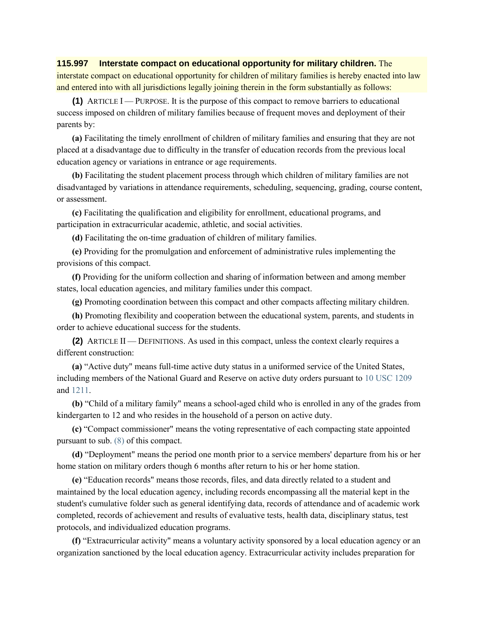## **115.997 Interstate compact on educational opportunity for military children.** The

interstate compact on educational opportunity for children of military families is hereby enacted into law and entered into with all jurisdictions legally joining therein in the form substantially as follows:

**(1)** ARTICLE  $I$  — PURPOSE. It is the purpose of this compact to remove barriers to educational success imposed on children of military families because of frequent moves and deployment of their parents by:

**(a)** Facilitating the timely enrollment of children of military families and ensuring that they are not placed at a disadvantage due to difficulty in the transfer of education records from the previous local education agency or variations in entrance or age requirements.

**(b)** Facilitating the student placement process through which children of military families are not disadvantaged by variations in attendance requirements, scheduling, sequencing, grading, course content, or assessment.

**(c)** Facilitating the qualification and eligibility for enrollment, educational programs, and participation in extracurricular academic, athletic, and social activities.

**(d)** Facilitating the on-time graduation of children of military families.

**(e)** Providing for the promulgation and enforcement of administrative rules implementing the provisions of this compact.

**(f)** Providing for the uniform collection and sharing of information between and among member states, local education agencies, and military families under this compact.

**(g)** Promoting coordination between this compact and other compacts affecting military children.

**(h)** Promoting flexibility and cooperation between the educational system, parents, and students in order to achieve educational success for the students.

**(2)** ARTICLE II — DEFINITIONS. As used in this compact, unless the context clearly requires a different construction:

**(a)** "Active duty" means full-time active duty status in a uniformed service of the United States, including members of the National Guard and Reserve on active duty orders pursuant to [10 USC 1209](https://docs.legis.wisconsin.gov/document/usc/10%20USC%201209) and [1211.](https://docs.legis.wisconsin.gov/document/usc/10%20USC%201211)

**(b)** "Child of a military family" means a school-aged child who is enrolled in any of the grades from kindergarten to 12 and who resides in the household of a person on active duty.

**(c)** "Compact commissioner" means the voting representative of each compacting state appointed pursuant to sub[. \(8\)](https://docs.legis.wisconsin.gov/document/statutes/115.997(8)) of this compact.

**(d)** "Deployment" means the period one month prior to a service members' departure from his or her home station on military orders though 6 months after return to his or her home station.

**(e)** "Education records" means those records, files, and data directly related to a student and maintained by the local education agency, including records encompassing all the material kept in the student's cumulative folder such as general identifying data, records of attendance and of academic work completed, records of achievement and results of evaluative tests, health data, disciplinary status, test protocols, and individualized education programs.

**(f)** "Extracurricular activity" means a voluntary activity sponsored by a local education agency or an organization sanctioned by the local education agency. Extracurricular activity includes preparation for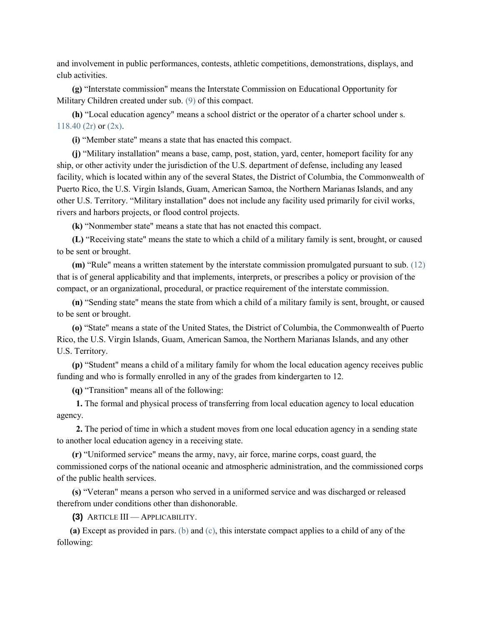and involvement in public performances, contests, athletic competitions, demonstrations, displays, and club activities.

**(g)** "Interstate commission" means the Interstate Commission on Educational Opportunity for Military Children created under sub. [\(9\)](https://docs.legis.wisconsin.gov/document/statutes/115.997(9)) of this compact.

**(h)** "Local education agency" means a school district or the operator of a charter school under s. [118.40 \(2r\)](https://docs.legis.wisconsin.gov/document/statutes/118.40(2r)) or [\(2x\).](https://docs.legis.wisconsin.gov/document/statutes/118.40(2x))

**(i)** "Member state" means a state that has enacted this compact.

**(j)** "Military installation" means a base, camp, post, station, yard, center, homeport facility for any ship, or other activity under the jurisdiction of the U.S. department of defense, including any leased facility, which is located within any of the several States, the District of Columbia, the Commonwealth of Puerto Rico, the U.S. Virgin Islands, Guam, American Samoa, the Northern Marianas Islands, and any other U.S. Territory. "Military installation" does not include any facility used primarily for civil works, rivers and harbors projects, or flood control projects.

**(k)** "Nonmember state" means a state that has not enacted this compact.

**(L)** "Receiving state" means the state to which a child of a military family is sent, brought, or caused to be sent or brought.

**(m)** "Rule" means a written statement by the interstate commission promulgated pursuant to sub. [\(12\)](https://docs.legis.wisconsin.gov/document/statutes/115.997(12)) that is of general applicability and that implements, interprets, or prescribes a policy or provision of the compact, or an organizational, procedural, or practice requirement of the interstate commission.

**(n)** "Sending state" means the state from which a child of a military family is sent, brought, or caused to be sent or brought.

**(o)** "State" means a state of the United States, the District of Columbia, the Commonwealth of Puerto Rico, the U.S. Virgin Islands, Guam, American Samoa, the Northern Marianas Islands, and any other U.S. Territory.

**(p)** "Student" means a child of a military family for whom the local education agency receives public funding and who is formally enrolled in any of the grades from kindergarten to 12.

**(q)** "Transition" means all of the following:

**1.** The formal and physical process of transferring from local education agency to local education agency.

**2.** The period of time in which a student moves from one local education agency in a sending state to another local education agency in a receiving state.

**(r)** "Uniformed service" means the army, navy, air force, marine corps, coast guard, the commissioned corps of the national oceanic and atmospheric administration, and the commissioned corps of the public health services.

**(s)** "Veteran" means a person who served in a uniformed service and was discharged or released therefrom under conditions other than dishonorable.

**(3)** ARTICLE III — APPLICABILITY.

**(a)** Except as provided in pars. [\(b\)](https://docs.legis.wisconsin.gov/document/statutes/115.997(3)(b)) and [\(c\),](https://docs.legis.wisconsin.gov/document/statutes/115.997(3)(c)) this interstate compact applies to a child of any of the following: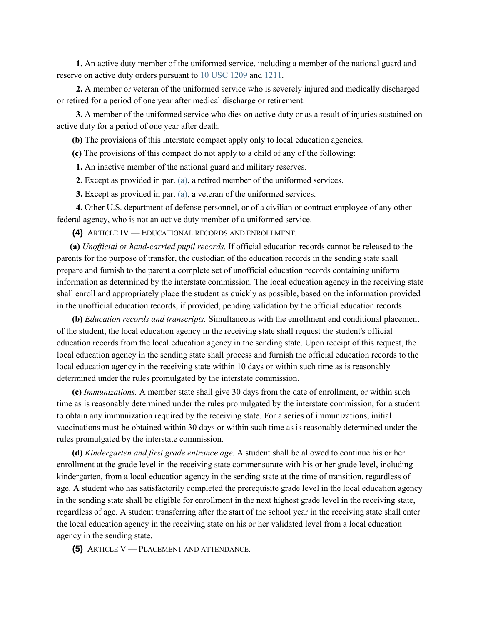**1.** An active duty member of the uniformed service, including a member of the national guard and reserve on active duty orders pursuant to [10 USC 1209](https://docs.legis.wisconsin.gov/document/usc/10%20USC%201209) and [1211.](https://docs.legis.wisconsin.gov/document/usc/10%20USC%201211)

**2.** A member or veteran of the uniformed service who is severely injured and medically discharged or retired for a period of one year after medical discharge or retirement.

**3.** A member of the uniformed service who dies on active duty or as a result of injuries sustained on active duty for a period of one year after death.

**(b)** The provisions of this interstate compact apply only to local education agencies.

**(c)** The provisions of this compact do not apply to a child of any of the following:

**1.** An inactive member of the national guard and military reserves.

**2.** Except as provided in par. [\(a\),](https://docs.legis.wisconsin.gov/document/statutes/115.997(3)(a)) a retired member of the uniformed services.

**3.** Except as provided in par. [\(a\),](https://docs.legis.wisconsin.gov/document/statutes/115.997(3)(a)) a veteran of the uniformed services.

**4.** Other U.S. department of defense personnel, or of a civilian or contract employee of any other federal agency, who is not an active duty member of a uniformed service.

**(4)** ARTICLE IV — EDUCATIONAL RECORDS AND ENROLLMENT.

**(a)** *Unofficial or hand-carried pupil records.* If official education records cannot be released to the parents for the purpose of transfer, the custodian of the education records in the sending state shall prepare and furnish to the parent a complete set of unofficial education records containing uniform information as determined by the interstate commission. The local education agency in the receiving state shall enroll and appropriately place the student as quickly as possible, based on the information provided in the unofficial education records, if provided, pending validation by the official education records.

**(b)** *Education records and transcripts.* Simultaneous with the enrollment and conditional placement of the student, the local education agency in the receiving state shall request the student's official education records from the local education agency in the sending state. Upon receipt of this request, the local education agency in the sending state shall process and furnish the official education records to the local education agency in the receiving state within 10 days or within such time as is reasonably determined under the rules promulgated by the interstate commission.

**(c)** *Immunizations.* A member state shall give 30 days from the date of enrollment, or within such time as is reasonably determined under the rules promulgated by the interstate commission, for a student to obtain any immunization required by the receiving state. For a series of immunizations, initial vaccinations must be obtained within 30 days or within such time as is reasonably determined under the rules promulgated by the interstate commission.

**(d)** *Kindergarten and first grade entrance age.* A student shall be allowed to continue his or her enrollment at the grade level in the receiving state commensurate with his or her grade level, including kindergarten, from a local education agency in the sending state at the time of transition, regardless of age. A student who has satisfactorily completed the prerequisite grade level in the local education agency in the sending state shall be eligible for enrollment in the next highest grade level in the receiving state, regardless of age. A student transferring after the start of the school year in the receiving state shall enter the local education agency in the receiving state on his or her validated level from a local education agency in the sending state.

**(5)** ARTICLE V — PLACEMENT AND ATTENDANCE.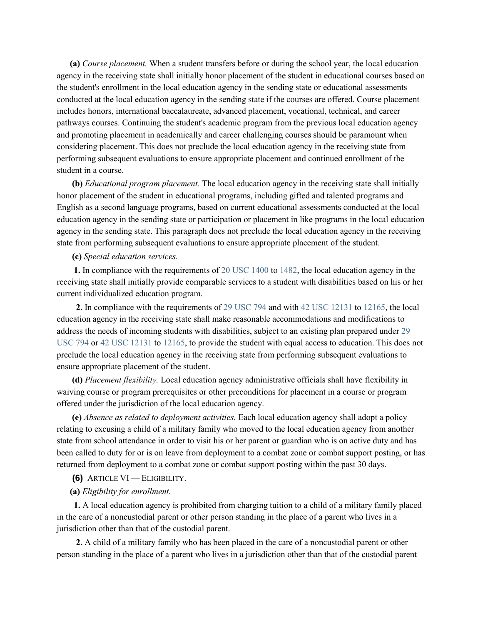**(a)** *Course placement.* When a student transfers before or during the school year, the local education agency in the receiving state shall initially honor placement of the student in educational courses based on the student's enrollment in the local education agency in the sending state or educational assessments conducted at the local education agency in the sending state if the courses are offered. Course placement includes honors, international baccalaureate, advanced placement, vocational, technical, and career pathways courses. Continuing the student's academic program from the previous local education agency and promoting placement in academically and career challenging courses should be paramount when considering placement. This does not preclude the local education agency in the receiving state from performing subsequent evaluations to ensure appropriate placement and continued enrollment of the student in a course.

**(b)** *Educational program placement.* The local education agency in the receiving state shall initially honor placement of the student in educational programs, including gifted and talented programs and English as a second language programs, based on current educational assessments conducted at the local education agency in the sending state or participation or placement in like programs in the local education agency in the sending state. This paragraph does not preclude the local education agency in the receiving state from performing subsequent evaluations to ensure appropriate placement of the student.

#### **(c)** *Special education services.*

**1.** In compliance with the requirements of [20 USC 1400](https://docs.legis.wisconsin.gov/document/usc/20%20USC%201400) t[o 1482,](https://docs.legis.wisconsin.gov/document/usc/20%20USC%201482) the local education agency in the receiving state shall initially provide comparable services to a student with disabilities based on his or her current individualized education program.

**2.** In compliance with the requirements of [29 USC 794](https://docs.legis.wisconsin.gov/document/usc/29%20USC%20794) and with [42 USC 12131](https://docs.legis.wisconsin.gov/document/usc/42%20USC%2012131) to [12165,](https://docs.legis.wisconsin.gov/document/usc/42%20USC%2012165) the local education agency in the receiving state shall make reasonable accommodations and modifications to address the needs of incoming students with disabilities, subject to an existing plan prepared under [29](https://docs.legis.wisconsin.gov/document/usc/29%20USC%20794)  [USC 794](https://docs.legis.wisconsin.gov/document/usc/29%20USC%20794) or [42 USC 12131](https://docs.legis.wisconsin.gov/document/usc/42%20USC%2012131) to [12165,](https://docs.legis.wisconsin.gov/document/usc/42%20USC%2012165) to provide the student with equal access to education. This does not preclude the local education agency in the receiving state from performing subsequent evaluations to ensure appropriate placement of the student.

**(d)** *Placement flexibility.* Local education agency administrative officials shall have flexibility in waiving course or program prerequisites or other preconditions for placement in a course or program offered under the jurisdiction of the local education agency.

**(e)** *Absence as related to deployment activities.* Each local education agency shall adopt a policy relating to excusing a child of a military family who moved to the local education agency from another state from school attendance in order to visit his or her parent or guardian who is on active duty and has been called to duty for or is on leave from deployment to a combat zone or combat support posting, or has returned from deployment to a combat zone or combat support posting within the past 30 days.

**(6)** ARTICLE VI — ELIGIBILITY.

### **(a)** *Eligibility for enrollment.*

**1.** A local education agency is prohibited from charging tuition to a child of a military family placed in the care of a noncustodial parent or other person standing in the place of a parent who lives in a jurisdiction other than that of the custodial parent.

**2.** A child of a military family who has been placed in the care of a noncustodial parent or other person standing in the place of a parent who lives in a jurisdiction other than that of the custodial parent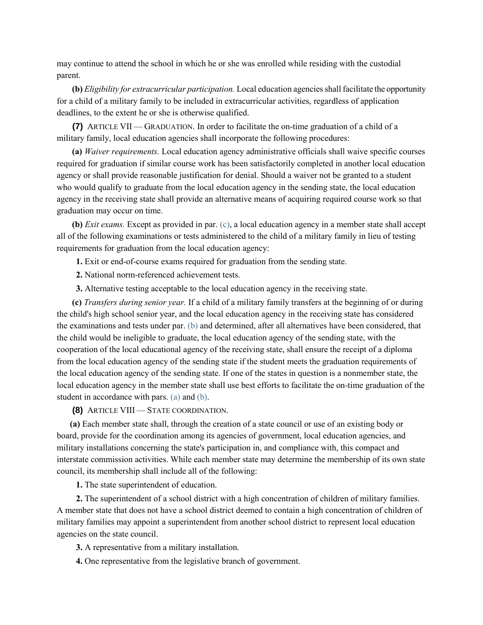may continue to attend the school in which he or she was enrolled while residing with the custodial parent.

**(b)** *Eligibility for extracurricular participation.* Local education agencies shall facilitate the opportunity for a child of a military family to be included in extracurricular activities, regardless of application deadlines, to the extent he or she is otherwise qualified.

**(7)** ARTICLE VII — GRADUATION. In order to facilitate the on-time graduation of a child of a military family, local education agencies shall incorporate the following procedures:

**(a)** *Waiver requirements.* Local education agency administrative officials shall waive specific courses required for graduation if similar course work has been satisfactorily completed in another local education agency or shall provide reasonable justification for denial. Should a waiver not be granted to a student who would qualify to graduate from the local education agency in the sending state, the local education agency in the receiving state shall provide an alternative means of acquiring required course work so that graduation may occur on time.

**(b)** *Exit exams.* Except as provided in par. [\(c\),](https://docs.legis.wisconsin.gov/document/statutes/115.997(7)(c)) a local education agency in a member state shall accept all of the following examinations or tests administered to the child of a military family in lieu of testing requirements for graduation from the local education agency:

**1.** Exit or end-of-course exams required for graduation from the sending state.

**2.** National norm-referenced achievement tests.

**3.** Alternative testing acceptable to the local education agency in the receiving state.

**(c)** *Transfers during senior year.* If a child of a military family transfers at the beginning of or during the child's high school senior year, and the local education agency in the receiving state has considered the examinations and tests under par. [\(b\)](https://docs.legis.wisconsin.gov/document/statutes/115.997(7)(b)) and determined, after all alternatives have been considered, that the child would be ineligible to graduate, the local education agency of the sending state, with the cooperation of the local educational agency of the receiving state, shall ensure the receipt of a diploma from the local education agency of the sending state if the student meets the graduation requirements of the local education agency of the sending state. If one of the states in question is a nonmember state, the local education agency in the member state shall use best efforts to facilitate the on-time graduation of the student in accordance with pars. [\(a\)](https://docs.legis.wisconsin.gov/document/statutes/115.997(7)(a)) and [\(b\).](https://docs.legis.wisconsin.gov/document/statutes/115.997(7)(b))

**(8)** ARTICLE VIII — STATE COORDINATION.

**(a)** Each member state shall, through the creation of a state council or use of an existing body or board, provide for the coordination among its agencies of government, local education agencies, and military installations concerning the state's participation in, and compliance with, this compact and interstate commission activities. While each member state may determine the membership of its own state council, its membership shall include all of the following:

**1.** The state superintendent of education.

**2.** The superintendent of a school district with a high concentration of children of military families. A member state that does not have a school district deemed to contain a high concentration of children of military families may appoint a superintendent from another school district to represent local education agencies on the state council.

**3.** A representative from a military installation.

**4.** One representative from the legislative branch of government.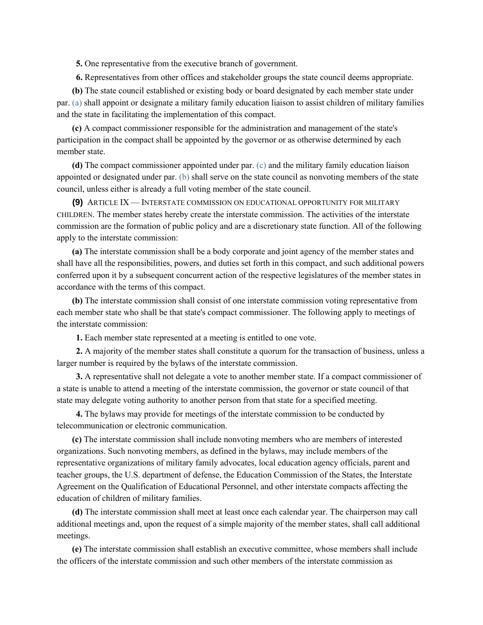**5.** One representative from the executive branch of government.

**6.** Representatives from other offices and stakeholder groups the state council deems appropriate.

**(b)** The state council established or existing body or board designated by each member state under par. [\(a\)](https://docs.legis.wisconsin.gov/document/statutes/115.997(8)(a)) shall appoint or designate a military family education liaison to assist children of military families and the state in facilitating the implementation of this compact.

**(c)** A compact commissioner responsible for the administration and management of the state's participation in the compact shall be appointed by the governor or as otherwise determined by each member state.

**(d)** The compact commissioner appointed under par. [\(c\)](https://docs.legis.wisconsin.gov/document/statutes/115.997(8)(c)) and the military family education liaison appointed or designated under par. [\(b\)](https://docs.legis.wisconsin.gov/document/statutes/115.997(8)(b)) shall serve on the state council as nonvoting members of the state council, unless either is already a full voting member of the state council.

**(9)** ARTICLE IX — INTERSTATE COMMISSION ON EDUCATIONAL OPPORTUNITY FOR MILITARY CHILDREN. The member states hereby create the interstate commission. The activities of the interstate commission are the formation of public policy and are a discretionary state function. All of the following apply to the interstate commission:

**(a)** The interstate commission shall be a body corporate and joint agency of the member states and shall have all the responsibilities, powers, and duties set forth in this compact, and such additional powers conferred upon it by a subsequent concurrent action of the respective legislatures of the member states in accordance with the terms of this compact.

**(b)** The interstate commission shall consist of one interstate commission voting representative from each member state who shall be that state's compact commissioner. The following apply to meetings of the interstate commission:

**1.** Each member state represented at a meeting is entitled to one vote.

**2.** A majority of the member states shall constitute a quorum for the transaction of business, unless a larger number is required by the bylaws of the interstate commission.

**3.** A representative shall not delegate a vote to another member state. If a compact commissioner of a state is unable to attend a meeting of the interstate commission, the governor or state council of that state may delegate voting authority to another person from that state for a specified meeting.

**4.** The bylaws may provide for meetings of the interstate commission to be conducted by telecommunication or electronic communication.

**(c)** The interstate commission shall include nonvoting members who are members of interested organizations. Such nonvoting members, as defined in the bylaws, may include members of the representative organizations of military family advocates, local education agency officials, parent and teacher groups, the U.S. department of defense, the Education Commission of the States, the Interstate Agreement on the Qualification of Educational Personnel, and other interstate compacts affecting the education of children of military families.

**(d)** The interstate commission shall meet at least once each calendar year. The chairperson may call additional meetings and, upon the request of a simple majority of the member states, shall call additional meetings.

**(e)** The interstate commission shall establish an executive committee, whose members shall include the officers of the interstate commission and such other members of the interstate commission as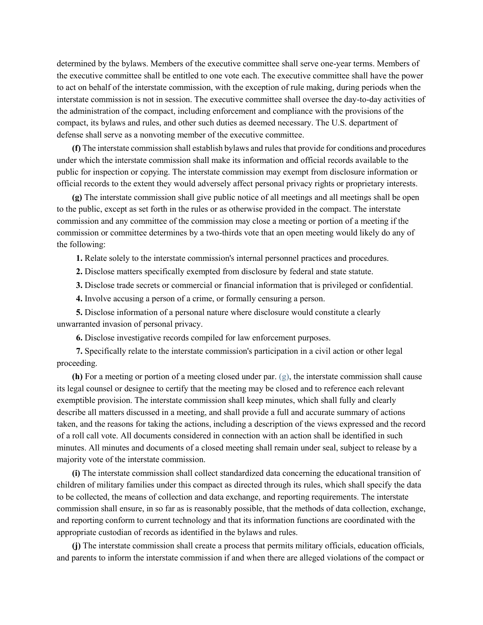determined by the bylaws. Members of the executive committee shall serve one-year terms. Members of the executive committee shall be entitled to one vote each. The executive committee shall have the power to act on behalf of the interstate commission, with the exception of rule making, during periods when the interstate commission is not in session. The executive committee shall oversee the day-to-day activities of the administration of the compact, including enforcement and compliance with the provisions of the compact, its bylaws and rules, and other such duties as deemed necessary. The U.S. department of defense shall serve as a nonvoting member of the executive committee.

**(f)** The interstate commission shall establish bylaws and rules that provide for conditions and procedures under which the interstate commission shall make its information and official records available to the public for inspection or copying. The interstate commission may exempt from disclosure information or official records to the extent they would adversely affect personal privacy rights or proprietary interests.

**(g)** The interstate commission shall give public notice of all meetings and all meetings shall be open to the public, except as set forth in the rules or as otherwise provided in the compact. The interstate commission and any committee of the commission may close a meeting or portion of a meeting if the commission or committee determines by a two-thirds vote that an open meeting would likely do any of the following:

**1.** Relate solely to the interstate commission's internal personnel practices and procedures.

- **2.** Disclose matters specifically exempted from disclosure by federal and state statute.
- **3.** Disclose trade secrets or commercial or financial information that is privileged or confidential.
- **4.** Involve accusing a person of a crime, or formally censuring a person.

**5.** Disclose information of a personal nature where disclosure would constitute a clearly unwarranted invasion of personal privacy.

**6.** Disclose investigative records compiled for law enforcement purposes.

**7.** Specifically relate to the interstate commission's participation in a civil action or other legal proceeding.

**(h)** For a meeting or portion of a meeting closed under par[. \(g\),](https://docs.legis.wisconsin.gov/document/statutes/115.997(9)(g)) the interstate commission shall cause its legal counsel or designee to certify that the meeting may be closed and to reference each relevant exemptible provision. The interstate commission shall keep minutes, which shall fully and clearly describe all matters discussed in a meeting, and shall provide a full and accurate summary of actions taken, and the reasons for taking the actions, including a description of the views expressed and the record of a roll call vote. All documents considered in connection with an action shall be identified in such minutes. All minutes and documents of a closed meeting shall remain under seal, subject to release by a majority vote of the interstate commission.

**(i)** The interstate commission shall collect standardized data concerning the educational transition of children of military families under this compact as directed through its rules, which shall specify the data to be collected, the means of collection and data exchange, and reporting requirements. The interstate commission shall ensure, in so far as is reasonably possible, that the methods of data collection, exchange, and reporting conform to current technology and that its information functions are coordinated with the appropriate custodian of records as identified in the bylaws and rules.

**(j)** The interstate commission shall create a process that permits military officials, education officials, and parents to inform the interstate commission if and when there are alleged violations of the compact or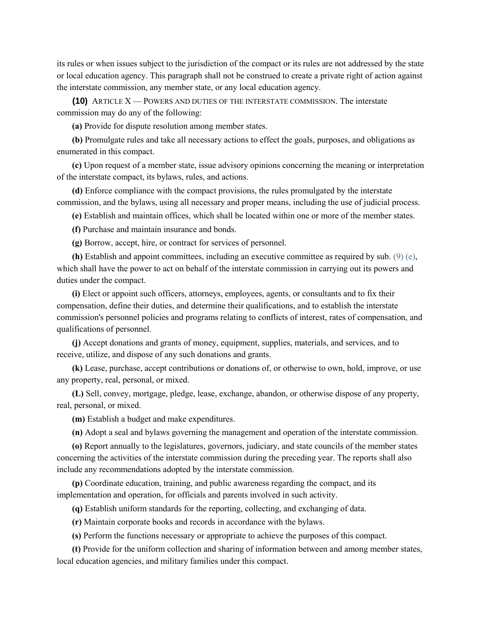its rules or when issues subject to the jurisdiction of the compact or its rules are not addressed by the state or local education agency. This paragraph shall not be construed to create a private right of action against the interstate commission, any member state, or any local education agency.

**(10)** ARTICLE X — POWERS AND DUTIES OF THE INTERSTATE COMMISSION. The interstate commission may do any of the following:

**(a)** Provide for dispute resolution among member states.

**(b)** Promulgate rules and take all necessary actions to effect the goals, purposes, and obligations as enumerated in this compact.

**(c)** Upon request of a member state, issue advisory opinions concerning the meaning or interpretation of the interstate compact, its bylaws, rules, and actions.

**(d)** Enforce compliance with the compact provisions, the rules promulgated by the interstate commission, and the bylaws, using all necessary and proper means, including the use of judicial process.

**(e)** Establish and maintain offices, which shall be located within one or more of the member states.

**(f)** Purchase and maintain insurance and bonds.

**(g)** Borrow, accept, hire, or contract for services of personnel.

**(h)** Establish and appoint committees, including an executive committee as required by sub. [\(9\) \(e\),](https://docs.legis.wisconsin.gov/document/statutes/115.997(9)(e)) which shall have the power to act on behalf of the interstate commission in carrying out its powers and duties under the compact.

**(i)** Elect or appoint such officers, attorneys, employees, agents, or consultants and to fix their compensation, define their duties, and determine their qualifications, and to establish the interstate commission's personnel policies and programs relating to conflicts of interest, rates of compensation, and qualifications of personnel.

**(j)** Accept donations and grants of money, equipment, supplies, materials, and services, and to receive, utilize, and dispose of any such donations and grants.

**(k)** Lease, purchase, accept contributions or donations of, or otherwise to own, hold, improve, or use any property, real, personal, or mixed.

**(L)** Sell, convey, mortgage, pledge, lease, exchange, abandon, or otherwise dispose of any property, real, personal, or mixed.

**(m)** Establish a budget and make expenditures.

**(n)** Adopt a seal and bylaws governing the management and operation of the interstate commission.

**(o)** Report annually to the legislatures, governors, judiciary, and state councils of the member states concerning the activities of the interstate commission during the preceding year. The reports shall also include any recommendations adopted by the interstate commission.

**(p)** Coordinate education, training, and public awareness regarding the compact, and its implementation and operation, for officials and parents involved in such activity.

**(q)** Establish uniform standards for the reporting, collecting, and exchanging of data.

**(r)** Maintain corporate books and records in accordance with the bylaws.

**(s)** Perform the functions necessary or appropriate to achieve the purposes of this compact.

**(t)** Provide for the uniform collection and sharing of information between and among member states, local education agencies, and military families under this compact.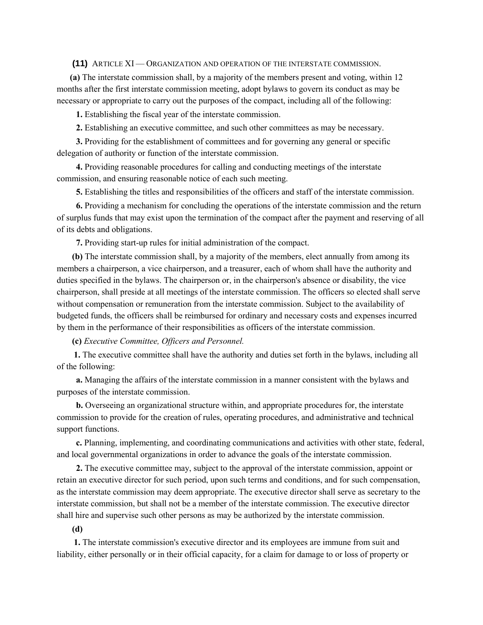**(11)** ARTICLE XI — ORGANIZATION AND OPERATION OF THE INTERSTATE COMMISSION.

**(a)** The interstate commission shall, by a majority of the members present and voting, within 12 months after the first interstate commission meeting, adopt bylaws to govern its conduct as may be necessary or appropriate to carry out the purposes of the compact, including all of the following:

**1.** Establishing the fiscal year of the interstate commission.

**2.** Establishing an executive committee, and such other committees as may be necessary.

**3.** Providing for the establishment of committees and for governing any general or specific delegation of authority or function of the interstate commission.

**4.** Providing reasonable procedures for calling and conducting meetings of the interstate commission, and ensuring reasonable notice of each such meeting.

**5.** Establishing the titles and responsibilities of the officers and staff of the interstate commission.

**6.** Providing a mechanism for concluding the operations of the interstate commission and the return of surplus funds that may exist upon the termination of the compact after the payment and reserving of all of its debts and obligations.

**7.** Providing start-up rules for initial administration of the compact.

**(b)** The interstate commission shall, by a majority of the members, elect annually from among its members a chairperson, a vice chairperson, and a treasurer, each of whom shall have the authority and duties specified in the bylaws. The chairperson or, in the chairperson's absence or disability, the vice chairperson, shall preside at all meetings of the interstate commission. The officers so elected shall serve without compensation or remuneration from the interstate commission. Subject to the availability of budgeted funds, the officers shall be reimbursed for ordinary and necessary costs and expenses incurred by them in the performance of their responsibilities as officers of the interstate commission.

**(c)** *Executive Committee, Officers and Personnel.*

**1.** The executive committee shall have the authority and duties set forth in the bylaws, including all of the following:

**a.** Managing the affairs of the interstate commission in a manner consistent with the bylaws and purposes of the interstate commission.

**b.** Overseeing an organizational structure within, and appropriate procedures for, the interstate commission to provide for the creation of rules, operating procedures, and administrative and technical support functions.

**c.** Planning, implementing, and coordinating communications and activities with other state, federal, and local governmental organizations in order to advance the goals of the interstate commission.

**2.** The executive committee may, subject to the approval of the interstate commission, appoint or retain an executive director for such period, upon such terms and conditions, and for such compensation, as the interstate commission may deem appropriate. The executive director shall serve as secretary to the interstate commission, but shall not be a member of the interstate commission. The executive director shall hire and supervise such other persons as may be authorized by the interstate commission.

### **(d)**

**1.** The interstate commission's executive director and its employees are immune from suit and liability, either personally or in their official capacity, for a claim for damage to or loss of property or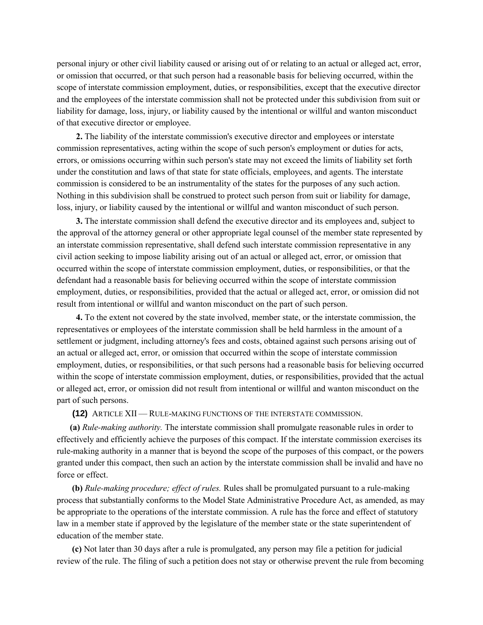personal injury or other civil liability caused or arising out of or relating to an actual or alleged act, error, or omission that occurred, or that such person had a reasonable basis for believing occurred, within the scope of interstate commission employment, duties, or responsibilities, except that the executive director and the employees of the interstate commission shall not be protected under this subdivision from suit or liability for damage, loss, injury, or liability caused by the intentional or willful and wanton misconduct of that executive director or employee.

**2.** The liability of the interstate commission's executive director and employees or interstate commission representatives, acting within the scope of such person's employment or duties for acts, errors, or omissions occurring within such person's state may not exceed the limits of liability set forth under the constitution and laws of that state for state officials, employees, and agents. The interstate commission is considered to be an instrumentality of the states for the purposes of any such action. Nothing in this subdivision shall be construed to protect such person from suit or liability for damage, loss, injury, or liability caused by the intentional or willful and wanton misconduct of such person.

**3.** The interstate commission shall defend the executive director and its employees and, subject to the approval of the attorney general or other appropriate legal counsel of the member state represented by an interstate commission representative, shall defend such interstate commission representative in any civil action seeking to impose liability arising out of an actual or alleged act, error, or omission that occurred within the scope of interstate commission employment, duties, or responsibilities, or that the defendant had a reasonable basis for believing occurred within the scope of interstate commission employment, duties, or responsibilities, provided that the actual or alleged act, error, or omission did not result from intentional or willful and wanton misconduct on the part of such person.

**4.** To the extent not covered by the state involved, member state, or the interstate commission, the representatives or employees of the interstate commission shall be held harmless in the amount of a settlement or judgment, including attorney's fees and costs, obtained against such persons arising out of an actual or alleged act, error, or omission that occurred within the scope of interstate commission employment, duties, or responsibilities, or that such persons had a reasonable basis for believing occurred within the scope of interstate commission employment, duties, or responsibilities, provided that the actual or alleged act, error, or omission did not result from intentional or willful and wanton misconduct on the part of such persons.

**(12)** ARTICLE XII — RULE-MAKING FUNCTIONS OF THE INTERSTATE COMMISSION.

**(a)** *Rule-making authority.* The interstate commission shall promulgate reasonable rules in order to effectively and efficiently achieve the purposes of this compact. If the interstate commission exercises its rule-making authority in a manner that is beyond the scope of the purposes of this compact, or the powers granted under this compact, then such an action by the interstate commission shall be invalid and have no force or effect.

**(b)** *Rule-making procedure; effect of rules.* Rules shall be promulgated pursuant to a rule-making process that substantially conforms to the Model State Administrative Procedure Act, as amended, as may be appropriate to the operations of the interstate commission. A rule has the force and effect of statutory law in a member state if approved by the legislature of the member state or the state superintendent of education of the member state.

**(c)** Not later than 30 days after a rule is promulgated, any person may file a petition for judicial review of the rule. The filing of such a petition does not stay or otherwise prevent the rule from becoming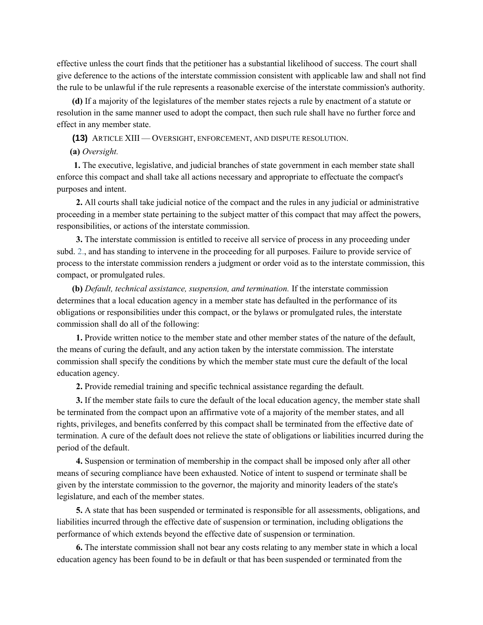effective unless the court finds that the petitioner has a substantial likelihood of success. The court shall give deference to the actions of the interstate commission consistent with applicable law and shall not find the rule to be unlawful if the rule represents a reasonable exercise of the interstate commission's authority.

**(d)** If a majority of the legislatures of the member states rejects a rule by enactment of a statute or resolution in the same manner used to adopt the compact, then such rule shall have no further force and effect in any member state.

**(13)** ARTICLE XIII — OVERSIGHT, ENFORCEMENT, AND DISPUTE RESOLUTION.

#### **(a)** *Oversight.*

**1.** The executive, legislative, and judicial branches of state government in each member state shall enforce this compact and shall take all actions necessary and appropriate to effectuate the compact's purposes and intent.

**2.** All courts shall take judicial notice of the compact and the rules in any judicial or administrative proceeding in a member state pertaining to the subject matter of this compact that may affect the powers, responsibilities, or actions of the interstate commission.

**3.** The interstate commission is entitled to receive all service of process in any proceeding under subd. [2.,](https://docs.legis.wisconsin.gov/document/statutes/115.997(13)(a)2.) and has standing to intervene in the proceeding for all purposes. Failure to provide service of process to the interstate commission renders a judgment or order void as to the interstate commission, this compact, or promulgated rules.

**(b)** *Default, technical assistance, suspension, and termination.* If the interstate commission determines that a local education agency in a member state has defaulted in the performance of its obligations or responsibilities under this compact, or the bylaws or promulgated rules, the interstate commission shall do all of the following:

**1.** Provide written notice to the member state and other member states of the nature of the default, the means of curing the default, and any action taken by the interstate commission. The interstate commission shall specify the conditions by which the member state must cure the default of the local education agency.

**2.** Provide remedial training and specific technical assistance regarding the default.

**3.** If the member state fails to cure the default of the local education agency, the member state shall be terminated from the compact upon an affirmative vote of a majority of the member states, and all rights, privileges, and benefits conferred by this compact shall be terminated from the effective date of termination. A cure of the default does not relieve the state of obligations or liabilities incurred during the period of the default.

**4.** Suspension or termination of membership in the compact shall be imposed only after all other means of securing compliance have been exhausted. Notice of intent to suspend or terminate shall be given by the interstate commission to the governor, the majority and minority leaders of the state's legislature, and each of the member states.

**5.** A state that has been suspended or terminated is responsible for all assessments, obligations, and liabilities incurred through the effective date of suspension or termination, including obligations the performance of which extends beyond the effective date of suspension or termination.

**6.** The interstate commission shall not bear any costs relating to any member state in which a local education agency has been found to be in default or that has been suspended or terminated from the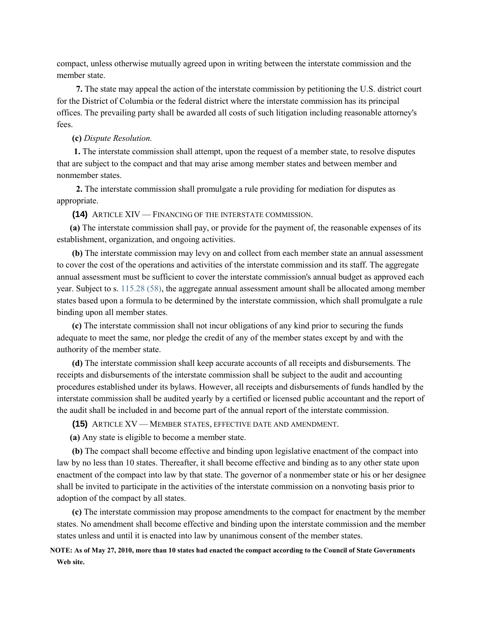compact, unless otherwise mutually agreed upon in writing between the interstate commission and the member state.

**7.** The state may appeal the action of the interstate commission by petitioning the U.S. district court for the District of Columbia or the federal district where the interstate commission has its principal offices. The prevailing party shall be awarded all costs of such litigation including reasonable attorney's fees.

## **(c)** *Dispute Resolution.*

**1.** The interstate commission shall attempt, upon the request of a member state, to resolve disputes that are subject to the compact and that may arise among member states and between member and nonmember states.

**2.** The interstate commission shall promulgate a rule providing for mediation for disputes as appropriate.

**(14)** ARTICLE XIV — FINANCING OF THE INTERSTATE COMMISSION.

**(a)** The interstate commission shall pay, or provide for the payment of, the reasonable expenses of its establishment, organization, and ongoing activities.

**(b)** The interstate commission may levy on and collect from each member state an annual assessment to cover the cost of the operations and activities of the interstate commission and its staff. The aggregate annual assessment must be sufficient to cover the interstate commission's annual budget as approved each year. Subject to s. [115.28 \(58\),](https://docs.legis.wisconsin.gov/document/statutes/115.28(58)) the aggregate annual assessment amount shall be allocated among member states based upon a formula to be determined by the interstate commission, which shall promulgate a rule binding upon all member states.

**(c)** The interstate commission shall not incur obligations of any kind prior to securing the funds adequate to meet the same, nor pledge the credit of any of the member states except by and with the authority of the member state.

**(d)** The interstate commission shall keep accurate accounts of all receipts and disbursements. The receipts and disbursements of the interstate commission shall be subject to the audit and accounting procedures established under its bylaws. However, all receipts and disbursements of funds handled by the interstate commission shall be audited yearly by a certified or licensed public accountant and the report of the audit shall be included in and become part of the annual report of the interstate commission.

**(15)** ARTICLE XV — MEMBER STATES, EFFECTIVE DATE AND AMENDMENT.

**(a)** Any state is eligible to become a member state.

**(b)** The compact shall become effective and binding upon legislative enactment of the compact into law by no less than 10 states. Thereafter, it shall become effective and binding as to any other state upon enactment of the compact into law by that state. The governor of a nonmember state or his or her designee shall be invited to participate in the activities of the interstate commission on a nonvoting basis prior to adoption of the compact by all states.

**(c)** The interstate commission may propose amendments to the compact for enactment by the member states. No amendment shall become effective and binding upon the interstate commission and the member states unless and until it is enacted into law by unanimous consent of the member states.

# **NOTE: As of May 27, 2010, more than 10 states had enacted the compact according to the Council of State Governments Web site.**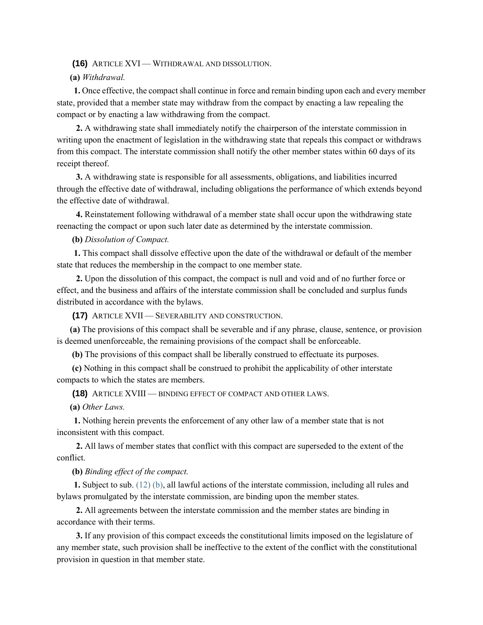#### **(16)** ARTICLE XVI — WITHDRAWAL AND DISSOLUTION.

## **(a)** *Withdrawal.*

**1.** Once effective, the compact shall continue in force and remain binding upon each and every member state, provided that a member state may withdraw from the compact by enacting a law repealing the compact or by enacting a law withdrawing from the compact.

**2.** A withdrawing state shall immediately notify the chairperson of the interstate commission in writing upon the enactment of legislation in the withdrawing state that repeals this compact or withdraws from this compact. The interstate commission shall notify the other member states within 60 days of its receipt thereof.

**3.** A withdrawing state is responsible for all assessments, obligations, and liabilities incurred through the effective date of withdrawal, including obligations the performance of which extends beyond the effective date of withdrawal.

**4.** Reinstatement following withdrawal of a member state shall occur upon the withdrawing state reenacting the compact or upon such later date as determined by the interstate commission.

**(b)** *Dissolution of Compact.*

**1.** This compact shall dissolve effective upon the date of the withdrawal or default of the member state that reduces the membership in the compact to one member state.

**2.** Upon the dissolution of this compact, the compact is null and void and of no further force or effect, and the business and affairs of the interstate commission shall be concluded and surplus funds distributed in accordance with the bylaws.

**(17)** ARTICLE XVII — SEVERABILITY AND CONSTRUCTION.

**(a)** The provisions of this compact shall be severable and if any phrase, clause, sentence, or provision is deemed unenforceable, the remaining provisions of the compact shall be enforceable.

**(b)** The provisions of this compact shall be liberally construed to effectuate its purposes.

**(c)** Nothing in this compact shall be construed to prohibit the applicability of other interstate compacts to which the states are members.

**(18)** ARTICLE XVIII — BINDING EFFECT OF COMPACT AND OTHER LAWS.

**(a)** *Other Laws.*

**1.** Nothing herein prevents the enforcement of any other law of a member state that is not inconsistent with this compact.

**2.** All laws of member states that conflict with this compact are superseded to the extent of the conflict.

**(b)** *Binding effect of the compact.*

**1.** Subject to sub. [\(12\) \(b\),](https://docs.legis.wisconsin.gov/document/statutes/115.997(12)(b)) all lawful actions of the interstate commission, including all rules and bylaws promulgated by the interstate commission, are binding upon the member states.

**2.** All agreements between the interstate commission and the member states are binding in accordance with their terms.

**3.** If any provision of this compact exceeds the constitutional limits imposed on the legislature of any member state, such provision shall be ineffective to the extent of the conflict with the constitutional provision in question in that member state.